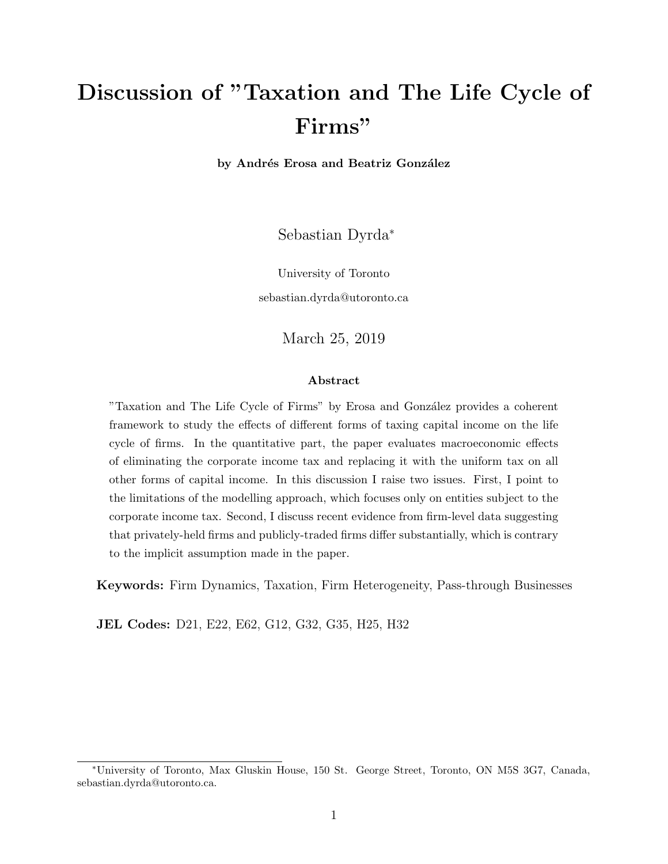# Discussion of "Taxation and The Life Cycle of Firms"

by Andrés Erosa and Beatriz González

Sebastian Dyrda<sup>∗</sup>

University of Toronto

sebastian.dyrda@utoronto.ca

March 25, 2019

#### Abstract

"Taxation and The Life Cycle of Firms" by Erosa and González provides a coherent framework to study the effects of different forms of taxing capital income on the life cycle of firms. In the quantitative part, the paper evaluates macroeconomic effects of eliminating the corporate income tax and replacing it with the uniform tax on all other forms of capital income. In this discussion I raise two issues. First, I point to the limitations of the modelling approach, which focuses only on entities subject to the corporate income tax. Second, I discuss recent evidence from firm-level data suggesting that privately-held firms and publicly-traded firms differ substantially, which is contrary to the implicit assumption made in the paper.

Keywords: Firm Dynamics, Taxation, Firm Heterogeneity, Pass-through Businesses

JEL Codes: D21, E22, E62, G12, G32, G35, H25, H32

<sup>∗</sup>University of Toronto, Max Gluskin House, 150 St. George Street, Toronto, ON M5S 3G7, Canada, sebastian.dyrda@utoronto.ca.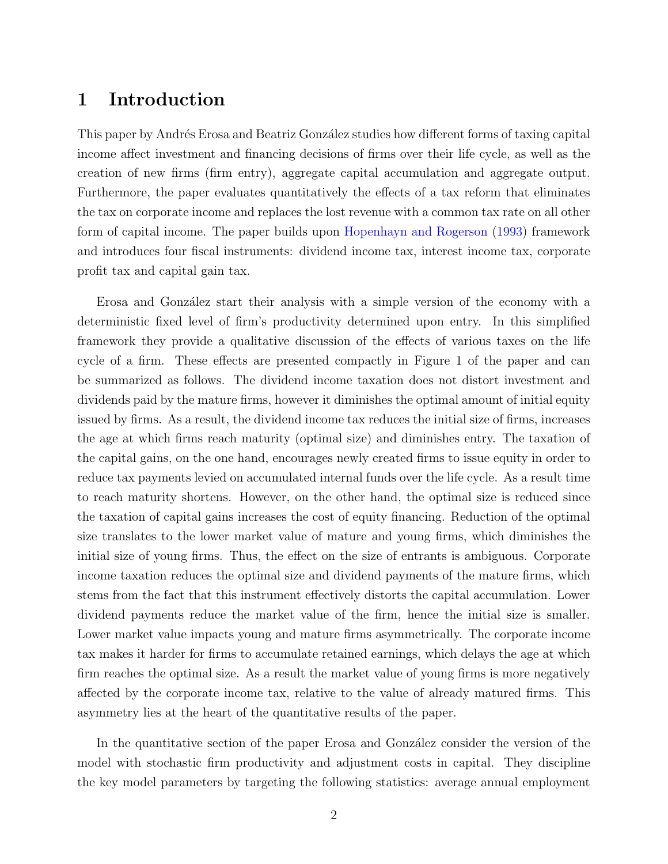## 1 Introduction

This paper by Andrés Erosa and Beatriz González studies how different forms of taxing capital income affect investment and financing decisions of firms over their life cycle, as well as the creation of new firms (firm entry), aggregate capital accumulation and aggregate output. Furthermore, the paper evaluates quantitatively the effects of a tax reform that eliminates the tax on corporate income and replaces the lost revenue with a common tax rate on all other form of capital income. The paper builds upon [Hopenhayn and Rogerson](#page-7-0) [\(1993\)](#page-7-0) framework and introduces four fiscal instruments: dividend income tax, interest income tax, corporate profit tax and capital gain tax.

Erosa and González start their analysis with a simple version of the economy with a deterministic fixed level of firm's productivity determined upon entry. In this simplified framework they provide a qualitative discussion of the effects of various taxes on the life cycle of a firm. These effects are presented compactly in Figure 1 of the paper and can be summarized as follows. The dividend income taxation does not distort investment and dividends paid by the mature firms, however it diminishes the optimal amount of initial equity issued by firms. As a result, the dividend income tax reduces the initial size of firms, increases the age at which firms reach maturity (optimal size) and diminishes entry. The taxation of the capital gains, on the one hand, encourages newly created firms to issue equity in order to reduce tax payments levied on accumulated internal funds over the life cycle. As a result time to reach maturity shortens. However, on the other hand, the optimal size is reduced since the taxation of capital gains increases the cost of equity financing. Reduction of the optimal size translates to the lower market value of mature and young firms, which diminishes the initial size of young firms. Thus, the effect on the size of entrants is ambiguous. Corporate income taxation reduces the optimal size and dividend payments of the mature firms, which stems from the fact that this instrument effectively distorts the capital accumulation. Lower dividend payments reduce the market value of the firm, hence the initial size is smaller. Lower market value impacts young and mature firms asymmetrically. The corporate income tax makes it harder for firms to accumulate retained earnings, which delays the age at which firm reaches the optimal size. As a result the market value of young firms is more negatively affected by the corporate income tax, relative to the value of already matured firms. This asymmetry lies at the heart of the quantitative results of the paper.

In the quantitative section of the paper Erosa and González consider the version of the model with stochastic firm productivity and adjustment costs in capital. They discipline the key model parameters by targeting the following statistics: average annual employment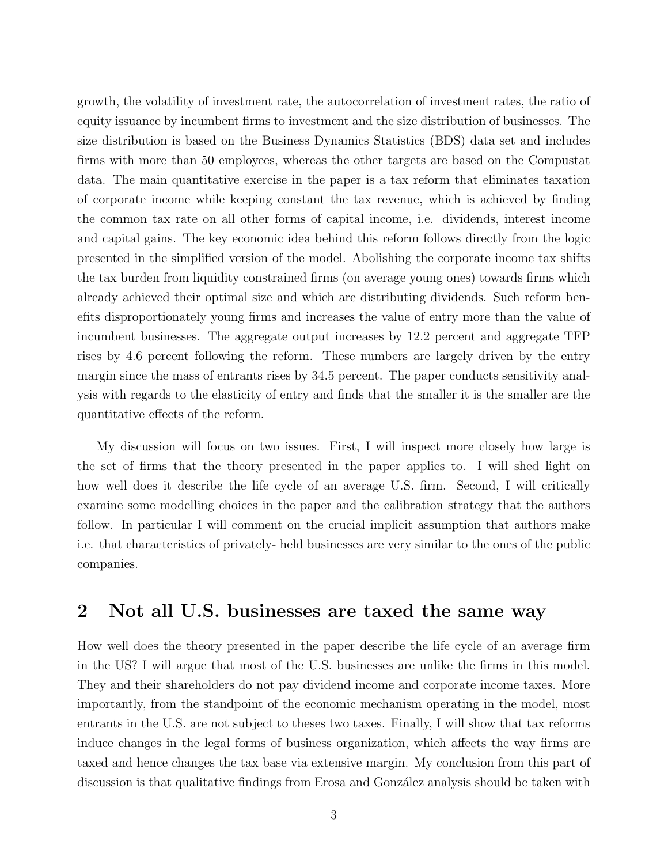growth, the volatility of investment rate, the autocorrelation of investment rates, the ratio of equity issuance by incumbent firms to investment and the size distribution of businesses. The size distribution is based on the Business Dynamics Statistics (BDS) data set and includes firms with more than 50 employees, whereas the other targets are based on the Compustat data. The main quantitative exercise in the paper is a tax reform that eliminates taxation of corporate income while keeping constant the tax revenue, which is achieved by finding the common tax rate on all other forms of capital income, i.e. dividends, interest income and capital gains. The key economic idea behind this reform follows directly from the logic presented in the simplified version of the model. Abolishing the corporate income tax shifts the tax burden from liquidity constrained firms (on average young ones) towards firms which already achieved their optimal size and which are distributing dividends. Such reform benefits disproportionately young firms and increases the value of entry more than the value of incumbent businesses. The aggregate output increases by 12.2 percent and aggregate TFP rises by 4.6 percent following the reform. These numbers are largely driven by the entry margin since the mass of entrants rises by 34.5 percent. The paper conducts sensitivity analysis with regards to the elasticity of entry and finds that the smaller it is the smaller are the quantitative effects of the reform.

My discussion will focus on two issues. First, I will inspect more closely how large is the set of firms that the theory presented in the paper applies to. I will shed light on how well does it describe the life cycle of an average U.S. firm. Second, I will critically examine some modelling choices in the paper and the calibration strategy that the authors follow. In particular I will comment on the crucial implicit assumption that authors make i.e. that characteristics of privately- held businesses are very similar to the ones of the public companies.

#### 2 Not all U.S. businesses are taxed the same way

How well does the theory presented in the paper describe the life cycle of an average firm in the US? I will argue that most of the U.S. businesses are unlike the firms in this model. They and their shareholders do not pay dividend income and corporate income taxes. More importantly, from the standpoint of the economic mechanism operating in the model, most entrants in the U.S. are not subject to theses two taxes. Finally, I will show that tax reforms induce changes in the legal forms of business organization, which affects the way firms are taxed and hence changes the tax base via extensive margin. My conclusion from this part of discussion is that qualitative findings from Erosa and González analysis should be taken with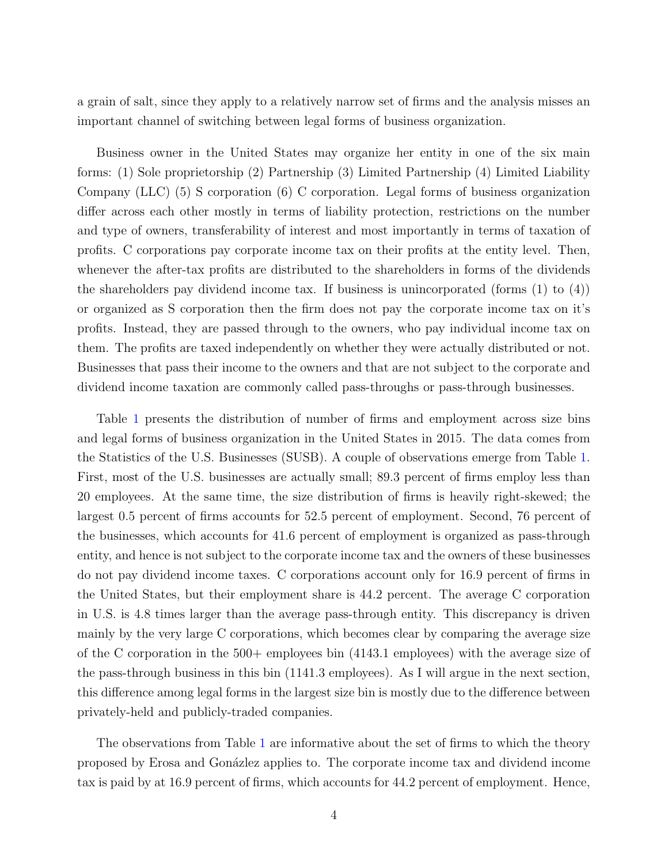a grain of salt, since they apply to a relatively narrow set of firms and the analysis misses an important channel of switching between legal forms of business organization.

Business owner in the United States may organize her entity in one of the six main forms: (1) Sole proprietorship (2) Partnership (3) Limited Partnership (4) Limited Liability Company (LLC) (5) S corporation (6) C corporation. Legal forms of business organization differ across each other mostly in terms of liability protection, restrictions on the number and type of owners, transferability of interest and most importantly in terms of taxation of profits. C corporations pay corporate income tax on their profits at the entity level. Then, whenever the after-tax profits are distributed to the shareholders in forms of the dividends the shareholders pay dividend income tax. If business is unincorporated (forms (1) to (4)) or organized as S corporation then the firm does not pay the corporate income tax on it's profits. Instead, they are passed through to the owners, who pay individual income tax on them. The profits are taxed independently on whether they were actually distributed or not. Businesses that pass their income to the owners and that are not subject to the corporate and dividend income taxation are commonly called pass-throughs or pass-through businesses.

Table [1](#page-4-0) presents the distribution of number of firms and employment across size bins and legal forms of business organization in the United States in 2015. The data comes from the Statistics of the U.S. Businesses (SUSB). A couple of observations emerge from Table [1.](#page-4-0) First, most of the U.S. businesses are actually small; 89.3 percent of firms employ less than 20 employees. At the same time, the size distribution of firms is heavily right-skewed; the largest 0.5 percent of firms accounts for 52.5 percent of employment. Second, 76 percent of the businesses, which accounts for 41.6 percent of employment is organized as pass-through entity, and hence is not subject to the corporate income tax and the owners of these businesses do not pay dividend income taxes. C corporations account only for 16.9 percent of firms in the United States, but their employment share is 44.2 percent. The average C corporation in U.S. is 4.8 times larger than the average pass-through entity. This discrepancy is driven mainly by the very large C corporations, which becomes clear by comparing the average size of the C corporation in the  $500+$  employees bin  $(4143.1 \text{ employees})$  with the average size of the pass-through business in this bin (1141.3 employees). As I will argue in the next section, this difference among legal forms in the largest size bin is mostly due to the difference between privately-held and publicly-traded companies.

The observations from Table [1](#page-4-0) are informative about the set of firms to which the theory proposed by Erosa and Gon´azlez applies to. The corporate income tax and dividend income tax is paid by at 16.9 percent of firms, which accounts for 44.2 percent of employment. Hence,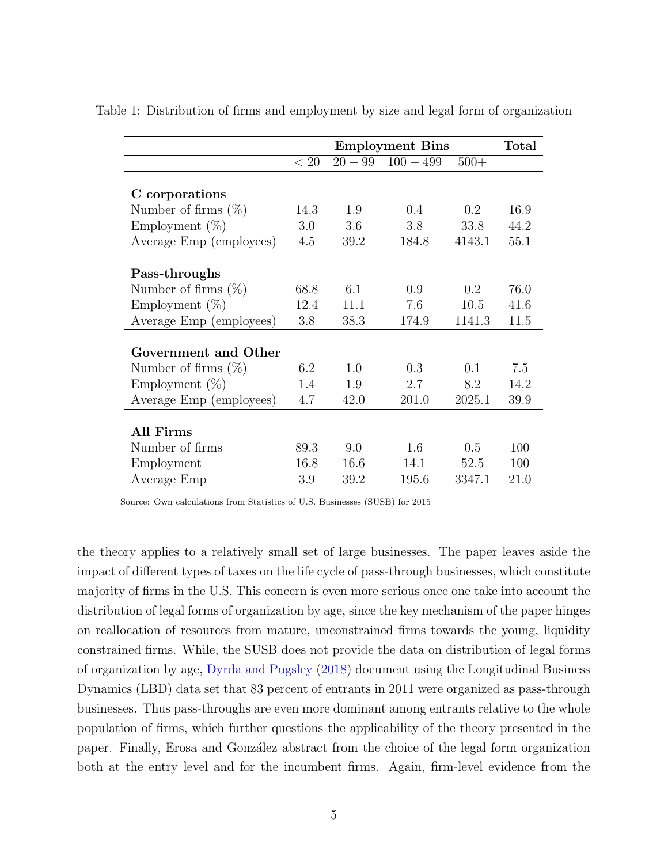|                         |      | <b>Employment Bins</b> |             |        | <b>Total</b> |
|-------------------------|------|------------------------|-------------|--------|--------------|
|                         | < 20 | $20 - 99$              | $100 - 499$ | $500+$ |              |
|                         |      |                        |             |        |              |
| C corporations          |      |                        |             |        |              |
| Number of firms $(\%)$  | 14.3 | 1.9                    | 0.4         | 0.2    | 16.9         |
| Employment $(\%)$       | 3.0  | 3.6                    | 3.8         | 33.8   | 44.2         |
| Average Emp (employees) | 4.5  | 39.2                   | 184.8       | 4143.1 | 55.1         |
|                         |      |                        |             |        |              |
| Pass-throughs           |      |                        |             |        |              |
| Number of firms $(\%)$  | 68.8 | 6.1                    | 0.9         | 0.2    | 76.0         |
| Employment $(\%)$       | 12.4 | 11.1                   | 7.6         | 10.5   | 41.6         |
| Average Emp (employees) | 3.8  | 38.3                   | 174.9       | 1141.3 | 11.5         |
|                         |      |                        |             |        |              |
| Government and Other    |      |                        |             |        |              |
| Number of firms $(\%)$  | 6.2  | 1.0                    | 0.3         | 0.1    | 7.5          |
| Employment $(\%)$       | 1.4  | 1.9                    | 2.7         | 8.2    | 14.2         |
| Average Emp (employees) | 4.7  | 42.0                   | 201.0       | 2025.1 | 39.9         |
|                         |      |                        |             |        |              |
| All Firms               |      |                        |             |        |              |
| Number of firms         | 89.3 | 9.0                    | 1.6         | 0.5    | 100          |
| Employment              | 16.8 | 16.6                   | 14.1        | 52.5   | 100          |
| Average Emp             | 3.9  | 39.2                   | 195.6       | 3347.1 | 21.0         |

<span id="page-4-0"></span>Table 1: Distribution of firms and employment by size and legal form of organization

Source: Own calculations from Statistics of U.S. Businesses (SUSB) for 2015

the theory applies to a relatively small set of large businesses. The paper leaves aside the impact of different types of taxes on the life cycle of pass-through businesses, which constitute majority of firms in the U.S. This concern is even more serious once one take into account the distribution of legal forms of organization by age, since the key mechanism of the paper hinges on reallocation of resources from mature, unconstrained firms towards the young, liquidity constrained firms. While, the SUSB does not provide the data on distribution of legal forms of organization by age, [Dyrda and Pugsley](#page-7-1) [\(2018\)](#page-7-1) document using the Longitudinal Business Dynamics (LBD) data set that 83 percent of entrants in 2011 were organized as pass-through businesses. Thus pass-throughs are even more dominant among entrants relative to the whole population of firms, which further questions the applicability of the theory presented in the paper. Finally, Erosa and Gonz´alez abstract from the choice of the legal form organization both at the entry level and for the incumbent firms. Again, firm-level evidence from the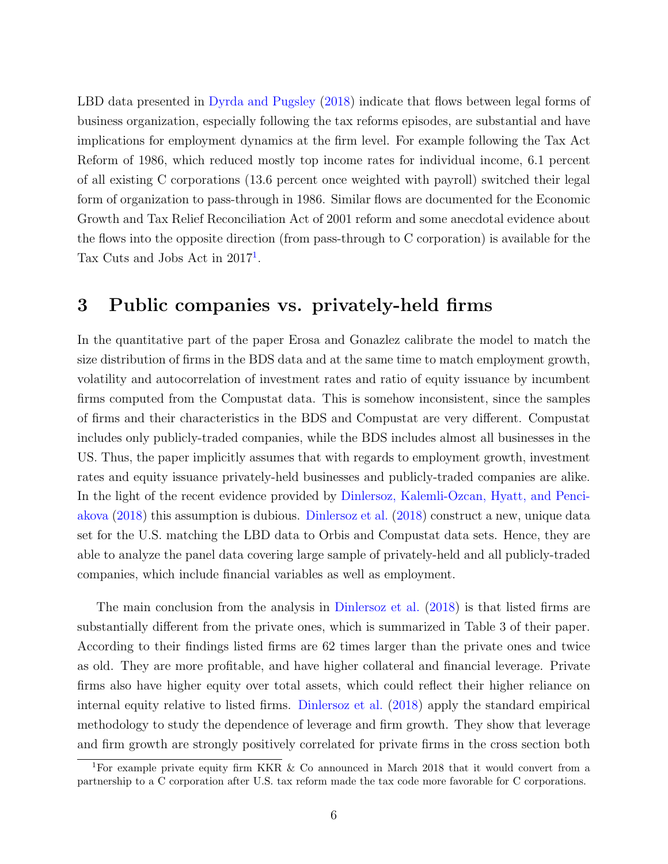LBD data presented in [Dyrda and Pugsley](#page-7-1) [\(2018\)](#page-7-1) indicate that flows between legal forms of business organization, especially following the tax reforms episodes, are substantial and have implications for employment dynamics at the firm level. For example following the Tax Act Reform of 1986, which reduced mostly top income rates for individual income, 6.1 percent of all existing C corporations (13.6 percent once weighted with payroll) switched their legal form of organization to pass-through in 1986. Similar flows are documented for the Economic Growth and Tax Relief Reconciliation Act of 2001 reform and some anecdotal evidence about the flows into the opposite direction (from pass-through to C corporation) is available for the Tax Cuts and Jobs Act in  $2017<sup>1</sup>$  $2017<sup>1</sup>$  $2017<sup>1</sup>$ .

#### 3 Public companies vs. privately-held firms

In the quantitative part of the paper Erosa and Gonazlez calibrate the model to match the size distribution of firms in the BDS data and at the same time to match employment growth, volatility and autocorrelation of investment rates and ratio of equity issuance by incumbent firms computed from the Compustat data. This is somehow inconsistent, since the samples of firms and their characteristics in the BDS and Compustat are very different. Compustat includes only publicly-traded companies, while the BDS includes almost all businesses in the US. Thus, the paper implicitly assumes that with regards to employment growth, investment rates and equity issuance privately-held businesses and publicly-traded companies are alike. In the light of the recent evidence provided by [Dinlersoz, Kalemli-Ozcan, Hyatt, and Penci](#page-7-2)[akova](#page-7-2) [\(2018\)](#page-7-2) this assumption is dubious. [Dinlersoz et al.](#page-7-2) [\(2018\)](#page-7-2) construct a new, unique data set for the U.S. matching the LBD data to Orbis and Compustat data sets. Hence, they are able to analyze the panel data covering large sample of privately-held and all publicly-traded companies, which include financial variables as well as employment.

The main conclusion from the analysis in [Dinlersoz et al.](#page-7-2) [\(2018\)](#page-7-2) is that listed firms are substantially different from the private ones, which is summarized in Table 3 of their paper. According to their findings listed firms are 62 times larger than the private ones and twice as old. They are more profitable, and have higher collateral and financial leverage. Private firms also have higher equity over total assets, which could reflect their higher reliance on internal equity relative to listed firms. [Dinlersoz et al.](#page-7-2) [\(2018\)](#page-7-2) apply the standard empirical methodology to study the dependence of leverage and firm growth. They show that leverage and firm growth are strongly positively correlated for private firms in the cross section both

<span id="page-5-0"></span><sup>1</sup>For example private equity firm KKR & Co announced in March 2018 that it would convert from a partnership to a C corporation after U.S. tax reform made the tax code more favorable for C corporations.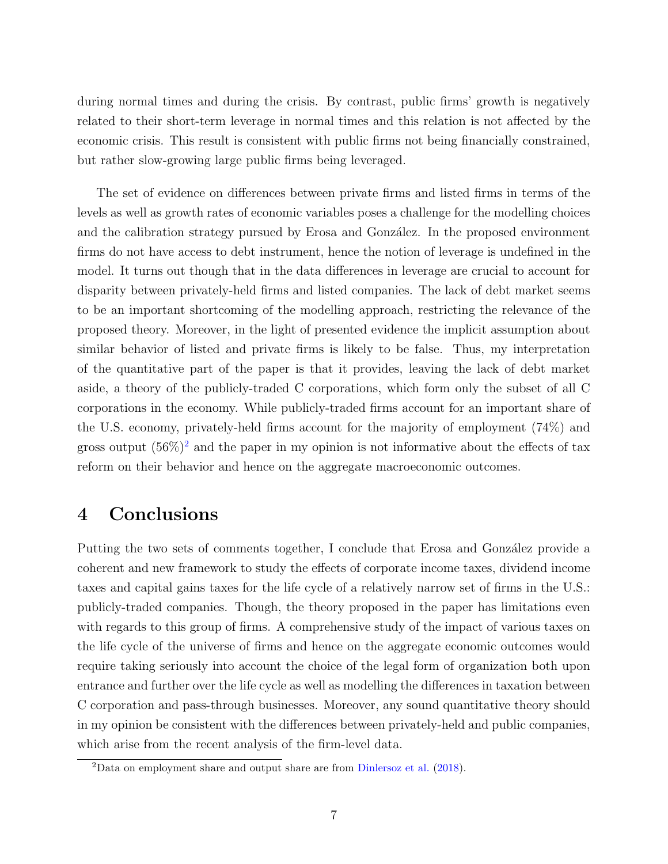during normal times and during the crisis. By contrast, public firms' growth is negatively related to their short-term leverage in normal times and this relation is not affected by the economic crisis. This result is consistent with public firms not being financially constrained, but rather slow-growing large public firms being leveraged.

The set of evidence on differences between private firms and listed firms in terms of the levels as well as growth rates of economic variables poses a challenge for the modelling choices and the calibration strategy pursued by Erosa and González. In the proposed environment firms do not have access to debt instrument, hence the notion of leverage is undefined in the model. It turns out though that in the data differences in leverage are crucial to account for disparity between privately-held firms and listed companies. The lack of debt market seems to be an important shortcoming of the modelling approach, restricting the relevance of the proposed theory. Moreover, in the light of presented evidence the implicit assumption about similar behavior of listed and private firms is likely to be false. Thus, my interpretation of the quantitative part of the paper is that it provides, leaving the lack of debt market aside, a theory of the publicly-traded C corporations, which form only the subset of all C corporations in the economy. While publicly-traded firms account for an important share of the U.S. economy, privately-held firms account for the majority of employment (74%) and gross output  $(56\%)^2$  $(56\%)^2$  and the paper in my opinion is not informative about the effects of tax reform on their behavior and hence on the aggregate macroeconomic outcomes.

### 4 Conclusions

Putting the two sets of comments together, I conclude that Erosa and González provide a coherent and new framework to study the effects of corporate income taxes, dividend income taxes and capital gains taxes for the life cycle of a relatively narrow set of firms in the U.S.: publicly-traded companies. Though, the theory proposed in the paper has limitations even with regards to this group of firms. A comprehensive study of the impact of various taxes on the life cycle of the universe of firms and hence on the aggregate economic outcomes would require taking seriously into account the choice of the legal form of organization both upon entrance and further over the life cycle as well as modelling the differences in taxation between C corporation and pass-through businesses. Moreover, any sound quantitative theory should in my opinion be consistent with the differences between privately-held and public companies, which arise from the recent analysis of the firm-level data.

<span id="page-6-0"></span><sup>2</sup>Data on employment share and output share are from [Dinlersoz et al.](#page-7-2) [\(2018\)](#page-7-2).